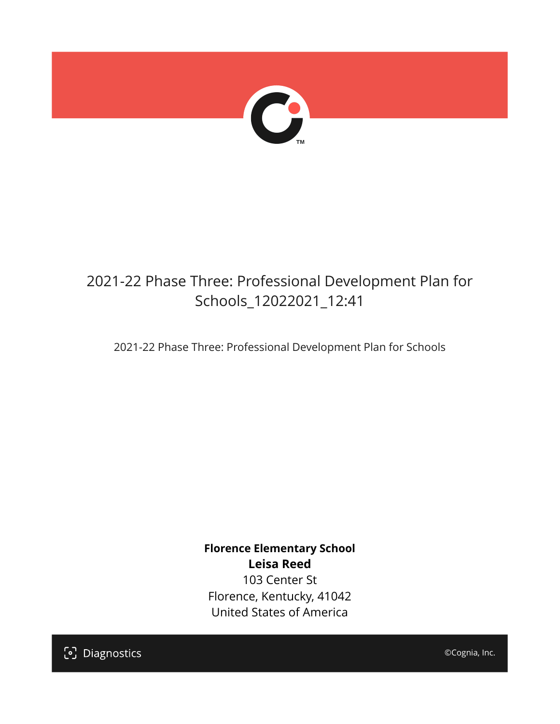

## 2021-22 Phase Three: Professional Development Plan for Schools\_12022021\_12:41

2021-22 Phase Three: Professional Development Plan for Schools

**Florence Elementary School Leisa Reed** 103 Center St Florence, Kentucky, 41042 United States of America

[၁] Diagnostics

©Cognia, Inc.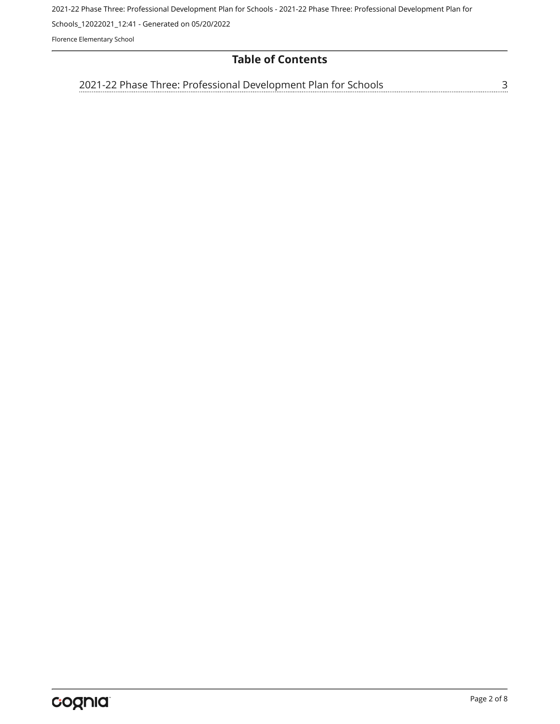2021-22 Phase Three: Professional Development Plan for Schools - 2021-22 Phase Three: Professional Development Plan for

Schools\_12022021\_12:41 - Generated on 05/20/2022

Florence Elementary School

## **Table of Contents**

[2021-22 Phase Three: Professional Development Plan for Schools](#page-2-0)[3](#page-2-0)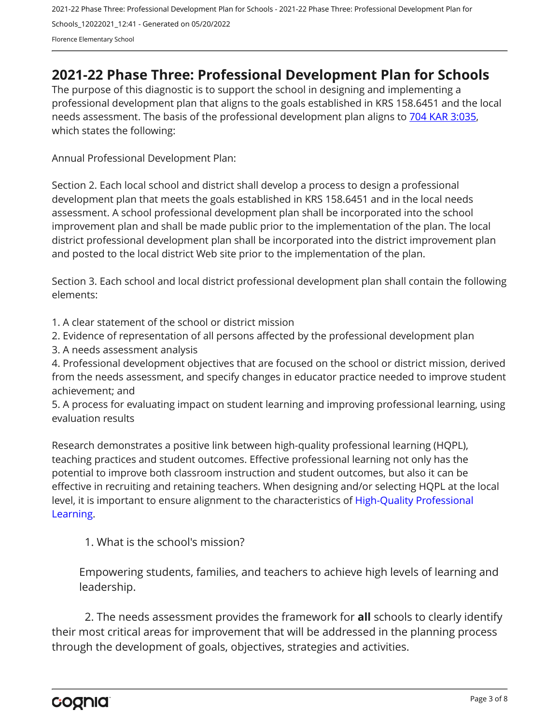2021-22 Phase Three: Professional Development Plan for Schools - 2021-22 Phase Three: Professional Development Plan for Schools\_12022021\_12:41 - Generated on 05/20/2022 Florence Elementary School

## <span id="page-2-0"></span>**2021-22 Phase Three: Professional Development Plan for Schools**

The purpose of this diagnostic is to support the school in designing and implementing a professional development plan that aligns to the goals established in KRS 158.6451 and the local needs assessment. The basis of the professional development plan aligns to [704 KAR 3:035,](https://apps.legislature.ky.gov/Law/kar/704/003/035.pdf) which states the following:

Annual Professional Development Plan:

Section 2. Each local school and district shall develop a process to design a professional development plan that meets the goals established in KRS 158.6451 and in the local needs assessment. A school professional development plan shall be incorporated into the school improvement plan and shall be made public prior to the implementation of the plan. The local district professional development plan shall be incorporated into the district improvement plan and posted to the local district Web site prior to the implementation of the plan.

Section 3. Each school and local district professional development plan shall contain the following elements:

1. A clear statement of the school or district mission

2. Evidence of representation of all persons affected by the professional development plan

3. A needs assessment analysis

4. Professional development objectives that are focused on the school or district mission, derived from the needs assessment, and specify changes in educator practice needed to improve student achievement; and

5. A process for evaluating impact on student learning and improving professional learning, using evaluation results

Research demonstrates a positive link between high-quality professional learning (HQPL), teaching practices and student outcomes. Effective professional learning not only has the potential to improve both classroom instruction and student outcomes, but also it can be effective in recruiting and retaining teachers. When designing and/or selecting HQPL at the local level, it is important to ensure alignment to the characteristics of [High-Quality Professional](https://protect-us.mimecast.com/s/t_VKCmZ28lUj9ElyiG-gxw?domain=education.ky.gov)  [Learning](https://protect-us.mimecast.com/s/t_VKCmZ28lUj9ElyiG-gxw?domain=education.ky.gov).

1. What is the school's mission?

Empowering students, families, and teachers to achieve high levels of learning and leadership.

2. The needs assessment provides the framework for **all** schools to clearly identify their most critical areas for improvement that will be addressed in the planning process through the development of goals, objectives, strategies and activities.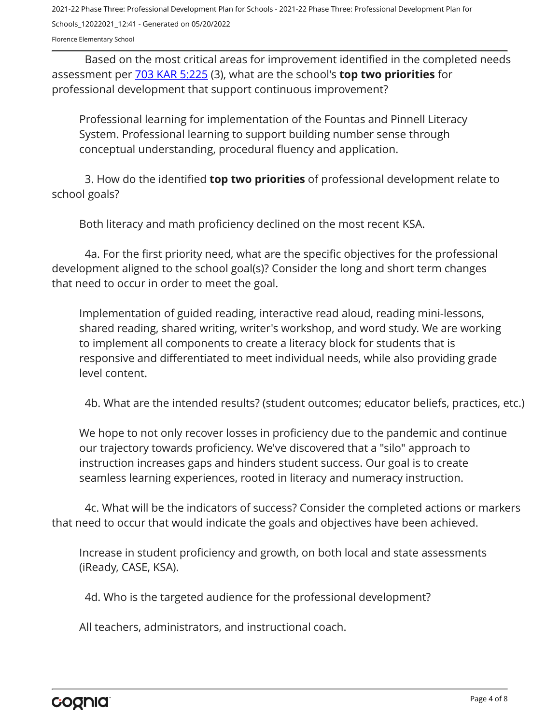2021-22 Phase Three: Professional Development Plan for Schools - 2021-22 Phase Three: Professional Development Plan for Schools\_12022021\_12:41 - Generated on 05/20/2022

Florence Elementary School

Based on the most critical areas for improvement identified in the completed needs assessment per [703 KAR 5:225](https://apps.legislature.ky.gov/law/kar/703/005/225.pdf) (3), what are the school's **top two priorities** for professional development that support continuous improvement?

Professional learning for implementation of the Fountas and Pinnell Literacy System. Professional learning to support building number sense through conceptual understanding, procedural fluency and application.

3. How do the identified **top two priorities** of professional development relate to school goals?

Both literacy and math proficiency declined on the most recent KSA.

4a. For the first priority need, what are the specific objectives for the professional development aligned to the school goal(s)? Consider the long and short term changes that need to occur in order to meet the goal.

Implementation of guided reading, interactive read aloud, reading mini-lessons, shared reading, shared writing, writer's workshop, and word study. We are working to implement all components to create a literacy block for students that is responsive and differentiated to meet individual needs, while also providing grade level content.

4b. What are the intended results? (student outcomes; educator beliefs, practices, etc.)

We hope to not only recover losses in proficiency due to the pandemic and continue our trajectory towards proficiency. We've discovered that a "silo" approach to instruction increases gaps and hinders student success. Our goal is to create seamless learning experiences, rooted in literacy and numeracy instruction.

4c. What will be the indicators of success? Consider the completed actions or markers that need to occur that would indicate the goals and objectives have been achieved.

Increase in student proficiency and growth, on both local and state assessments (iReady, CASE, KSA).

4d. Who is the targeted audience for the professional development?

All teachers, administrators, and instructional coach.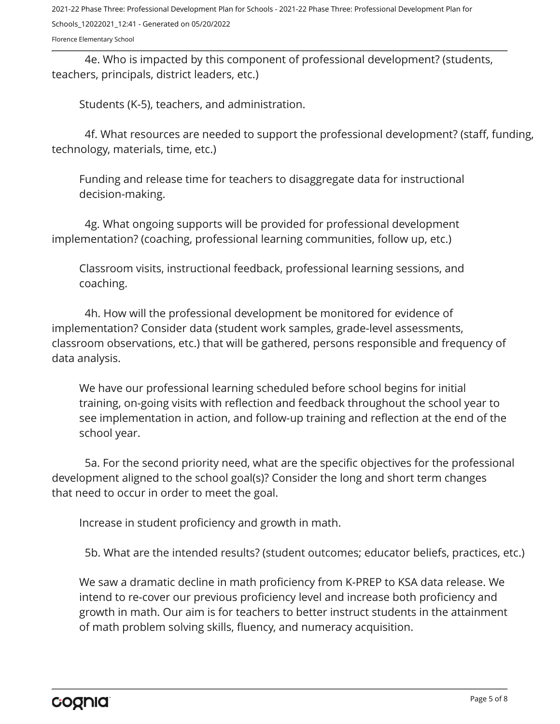2021-22 Phase Three: Professional Development Plan for Schools - 2021-22 Phase Three: Professional Development Plan for Schools\_12022021\_12:41 - Generated on 05/20/2022

Florence Elementary School

4e. Who is impacted by this component of professional development? (students, teachers, principals, district leaders, etc.)

Students (K-5), teachers, and administration.

4f. What resources are needed to support the professional development? (staff, funding, technology, materials, time, etc.)

Funding and release time for teachers to disaggregate data for instructional decision-making.

4g. What ongoing supports will be provided for professional development implementation? (coaching, professional learning communities, follow up, etc.)

Classroom visits, instructional feedback, professional learning sessions, and coaching.

4h. How will the professional development be monitored for evidence of implementation? Consider data (student work samples, grade-level assessments, classroom observations, etc.) that will be gathered, persons responsible and frequency of data analysis.

We have our professional learning scheduled before school begins for initial training, on-going visits with reflection and feedback throughout the school year to see implementation in action, and follow-up training and reflection at the end of the school year.

5a. For the second priority need, what are the specific objectives for the professional development aligned to the school goal(s)? Consider the long and short term changes that need to occur in order to meet the goal.

Increase in student proficiency and growth in math.

5b. What are the intended results? (student outcomes; educator beliefs, practices, etc.)

We saw a dramatic decline in math proficiency from K-PREP to KSA data release. We intend to re-cover our previous proficiency level and increase both proficiency and growth in math. Our aim is for teachers to better instruct students in the attainment of math problem solving skills, fluency, and numeracy acquisition.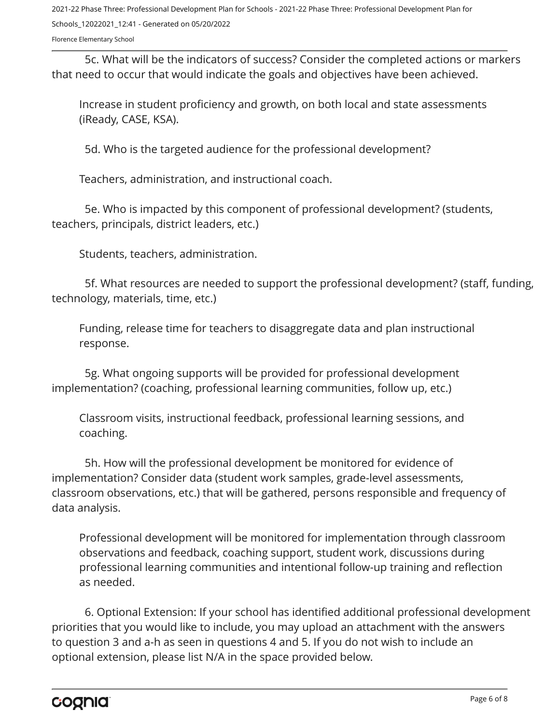2021-22 Phase Three: Professional Development Plan for Schools - 2021-22 Phase Three: Professional Development Plan for Schools\_12022021\_12:41 - Generated on 05/20/2022

Florence Elementary School

5c. What will be the indicators of success? Consider the completed actions or markers that need to occur that would indicate the goals and objectives have been achieved.

Increase in student proficiency and growth, on both local and state assessments (iReady, CASE, KSA).

5d. Who is the targeted audience for the professional development?

Teachers, administration, and instructional coach.

5e. Who is impacted by this component of professional development? (students, teachers, principals, district leaders, etc.)

Students, teachers, administration.

5f. What resources are needed to support the professional development? (staff, funding, technology, materials, time, etc.)

Funding, release time for teachers to disaggregate data and plan instructional response.

5g. What ongoing supports will be provided for professional development implementation? (coaching, professional learning communities, follow up, etc.)

Classroom visits, instructional feedback, professional learning sessions, and coaching.

5h. How will the professional development be monitored for evidence of implementation? Consider data (student work samples, grade-level assessments, classroom observations, etc.) that will be gathered, persons responsible and frequency of data analysis.

Professional development will be monitored for implementation through classroom observations and feedback, coaching support, student work, discussions during professional learning communities and intentional follow-up training and reflection as needed.

6. Optional Extension: If your school has identified additional professional development priorities that you would like to include, you may upload an attachment with the answers to question 3 and a-h as seen in questions 4 and 5. If you do not wish to include an optional extension, please list N/A in the space provided below.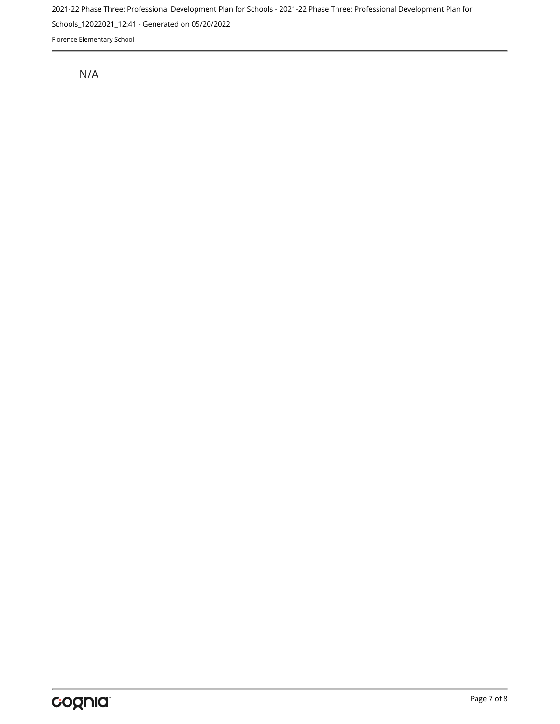2021-22 Phase Three: Professional Development Plan for Schools - 2021-22 Phase Three: Professional Development Plan for Schools\_12022021\_12:41 - Generated on 05/20/2022 Florence Elementary School

N/A